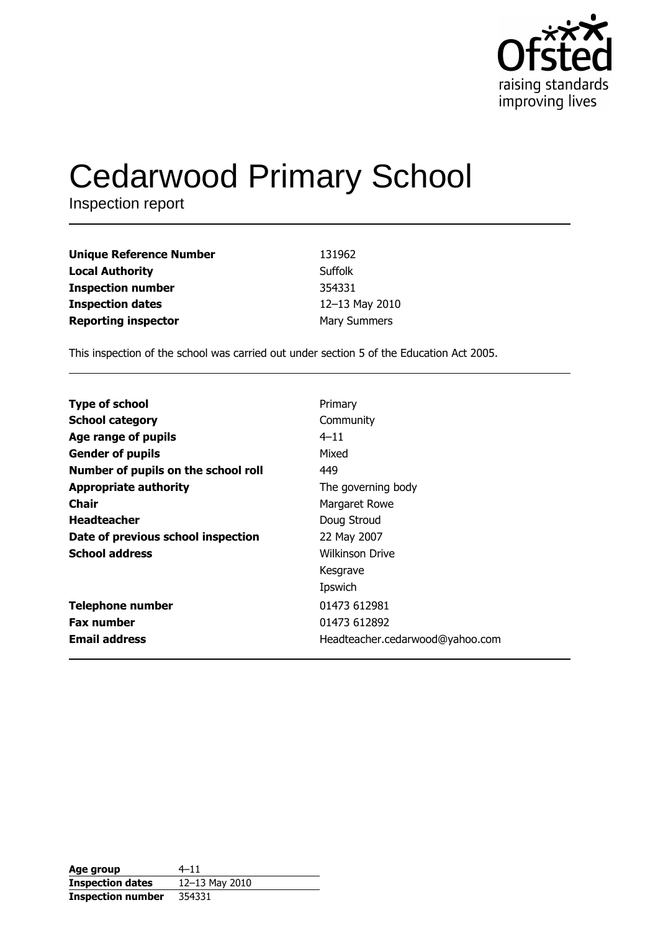

# **Cedarwood Primary School**

Inspection report

| <b>Unique Reference Number</b> | 131962              |
|--------------------------------|---------------------|
| <b>Local Authority</b>         | Suffolk             |
| <b>Inspection number</b>       | 354331              |
| <b>Inspection dates</b>        | 12-13 May 2010      |
| <b>Reporting inspector</b>     | <b>Mary Summers</b> |

This inspection of the school was carried out under section 5 of the Education Act 2005.

| <b>Type of school</b>               | Primary                         |
|-------------------------------------|---------------------------------|
| <b>School category</b>              | Community                       |
| Age range of pupils                 | $4 - 11$                        |
| <b>Gender of pupils</b>             | Mixed                           |
| Number of pupils on the school roll | 449                             |
| <b>Appropriate authority</b>        | The governing body              |
| Chair                               | Margaret Rowe                   |
| <b>Headteacher</b>                  | Doug Stroud                     |
| Date of previous school inspection  | 22 May 2007                     |
| <b>School address</b>               | <b>Wilkinson Drive</b>          |
|                                     | Kesgrave                        |
|                                     | Ipswich                         |
| <b>Telephone number</b>             | 01473 612981                    |
| <b>Fax number</b>                   | 01473 612892                    |
| <b>Email address</b>                | Headteacher.cedarwood@yahoo.com |

| Age group                | $4 - 11$       |
|--------------------------|----------------|
| <b>Inspection dates</b>  | 12-13 May 2010 |
| <b>Inspection number</b> | 354331         |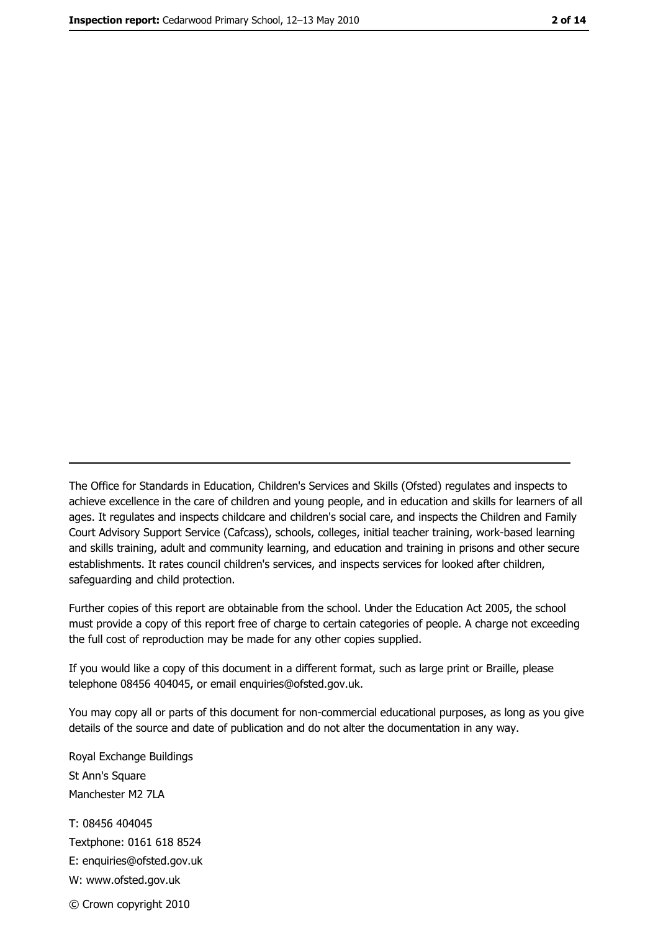The Office for Standards in Education, Children's Services and Skills (Ofsted) regulates and inspects to achieve excellence in the care of children and young people, and in education and skills for learners of all ages. It regulates and inspects childcare and children's social care, and inspects the Children and Family Court Advisory Support Service (Cafcass), schools, colleges, initial teacher training, work-based learning and skills training, adult and community learning, and education and training in prisons and other secure establishments. It rates council children's services, and inspects services for looked after children, safequarding and child protection.

Further copies of this report are obtainable from the school. Under the Education Act 2005, the school must provide a copy of this report free of charge to certain categories of people. A charge not exceeding the full cost of reproduction may be made for any other copies supplied.

If you would like a copy of this document in a different format, such as large print or Braille, please telephone 08456 404045, or email enquiries@ofsted.gov.uk.

You may copy all or parts of this document for non-commercial educational purposes, as long as you give details of the source and date of publication and do not alter the documentation in any way.

Royal Exchange Buildings St Ann's Square Manchester M2 7LA T: 08456 404045 Textphone: 0161 618 8524 E: enquiries@ofsted.gov.uk W: www.ofsted.gov.uk © Crown copyright 2010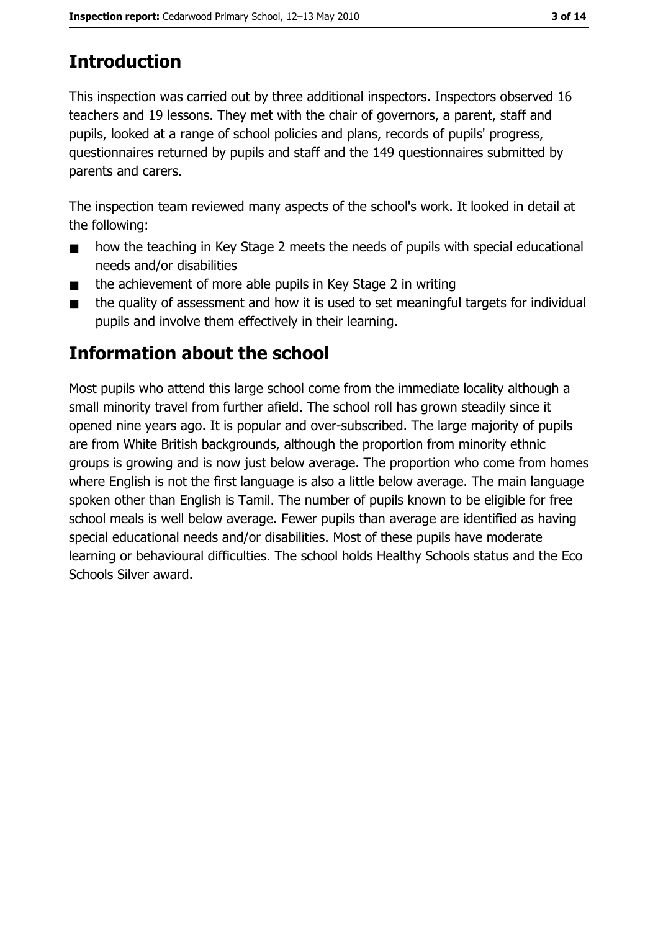# **Introduction**

This inspection was carried out by three additional inspectors. Inspectors observed 16 teachers and 19 lessons. They met with the chair of governors, a parent, staff and pupils, looked at a range of school policies and plans, records of pupils' progress, questionnaires returned by pupils and staff and the 149 questionnaires submitted by parents and carers.

The inspection team reviewed many aspects of the school's work. It looked in detail at the following:

- $\blacksquare$ how the teaching in Key Stage 2 meets the needs of pupils with special educational needs and/or disabilities
- the achievement of more able pupils in Key Stage 2 in writing  $\blacksquare$
- the quality of assessment and how it is used to set meaningful targets for individual  $\blacksquare$ pupils and involve them effectively in their learning.

# Information about the school

Most pupils who attend this large school come from the immediate locality although a small minority travel from further afield. The school roll has grown steadily since it opened nine years ago. It is popular and over-subscribed. The large majority of pupils are from White British backgrounds, although the proportion from minority ethnic groups is growing and is now just below average. The proportion who come from homes where English is not the first language is also a little below average. The main language spoken other than English is Tamil. The number of pupils known to be eligible for free school meals is well below average. Fewer pupils than average are identified as having special educational needs and/or disabilities. Most of these pupils have moderate learning or behavioural difficulties. The school holds Healthy Schools status and the Eco Schools Silver award.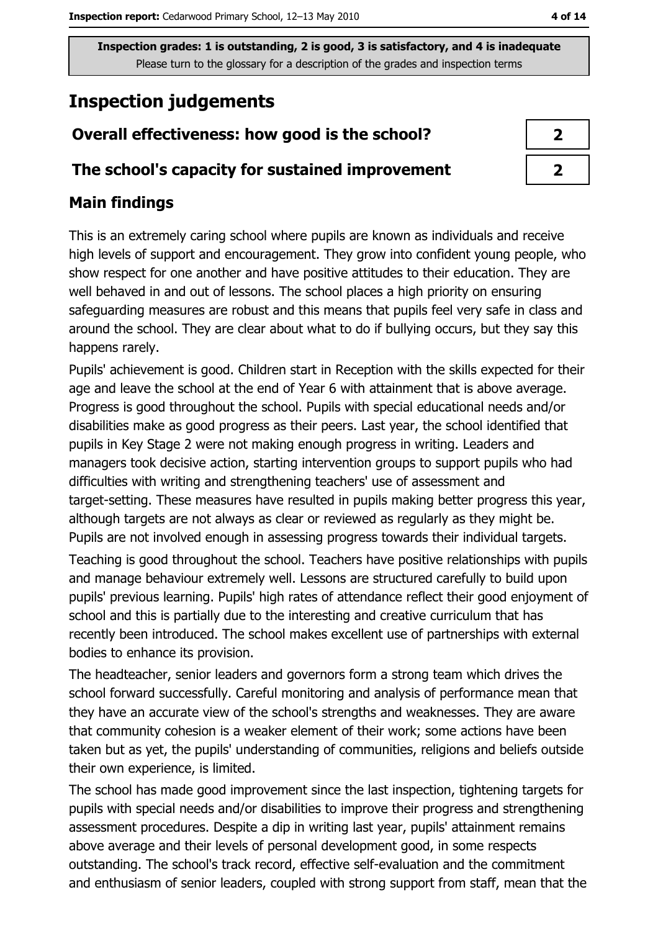# **Inspection judgements**

## Overall effectiveness: how good is the school?

#### The school's capacity for sustained improvement

## **Main findings**

This is an extremely caring school where pupils are known as individuals and receive high levels of support and encouragement. They grow into confident young people, who show respect for one another and have positive attitudes to their education. They are well behaved in and out of lessons. The school places a high priority on ensuring safeguarding measures are robust and this means that pupils feel very safe in class and around the school. They are clear about what to do if bullying occurs, but they say this happens rarely.

Pupils' achievement is good. Children start in Reception with the skills expected for their age and leave the school at the end of Year 6 with attainment that is above average. Progress is good throughout the school. Pupils with special educational needs and/or disabilities make as good progress as their peers. Last year, the school identified that pupils in Key Stage 2 were not making enough progress in writing. Leaders and managers took decisive action, starting intervention groups to support pupils who had difficulties with writing and strengthening teachers' use of assessment and target-setting. These measures have resulted in pupils making better progress this year, although targets are not always as clear or reviewed as regularly as they might be. Pupils are not involved enough in assessing progress towards their individual targets.

Teaching is good throughout the school. Teachers have positive relationships with pupils and manage behaviour extremely well. Lessons are structured carefully to build upon pupils' previous learning. Pupils' high rates of attendance reflect their good enjoyment of school and this is partially due to the interesting and creative curriculum that has recently been introduced. The school makes excellent use of partnerships with external bodies to enhance its provision.

The headteacher, senior leaders and governors form a strong team which drives the school forward successfully. Careful monitoring and analysis of performance mean that they have an accurate view of the school's strengths and weaknesses. They are aware that community cohesion is a weaker element of their work; some actions have been taken but as yet, the pupils' understanding of communities, religions and beliefs outside their own experience, is limited.

The school has made good improvement since the last inspection, tightening targets for pupils with special needs and/or disabilities to improve their progress and strengthening assessment procedures. Despite a dip in writing last year, pupils' attainment remains above average and their levels of personal development good, in some respects outstanding. The school's track record, effective self-evaluation and the commitment and enthusiasm of senior leaders, coupled with strong support from staff, mean that the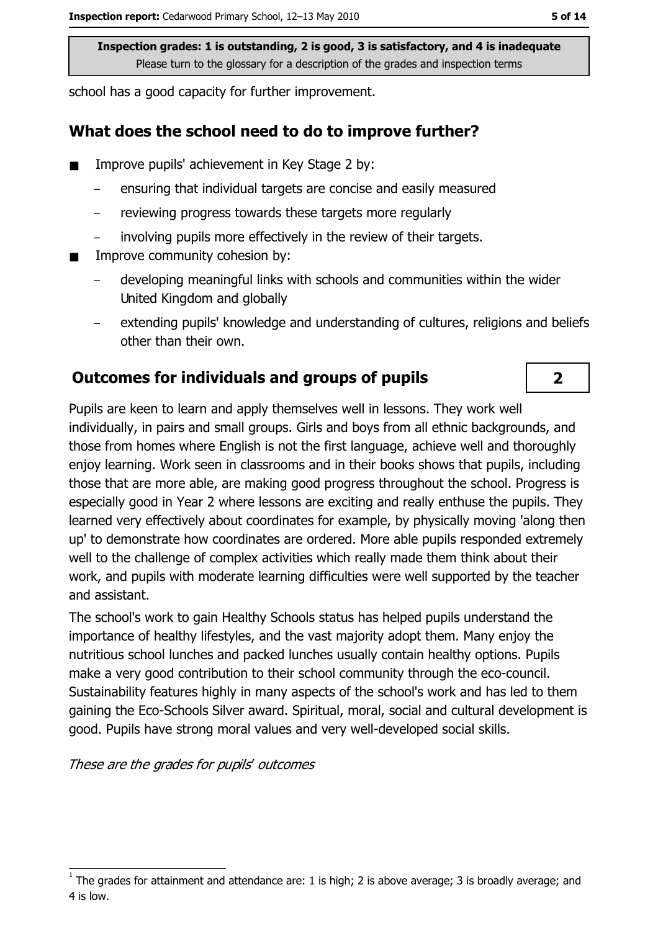school has a good capacity for further improvement.

#### What does the school need to do to improve further?

- Improve pupils' achievement in Key Stage 2 by:
	- ensuring that individual targets are concise and easily measured
	- reviewing progress towards these targets more regularly
	- involving pupils more effectively in the review of their targets.
- Improve community cohesion by:  $\blacksquare$ 
	- developing meaningful links with schools and communities within the wider United Kingdom and globally
	- extending pupils' knowledge and understanding of cultures, religions and beliefs other than their own.

#### **Outcomes for individuals and groups of pupils**

Pupils are keen to learn and apply themselves well in lessons. They work well individually, in pairs and small groups. Girls and boys from all ethnic backgrounds, and those from homes where English is not the first language, achieve well and thoroughly enjoy learning. Work seen in classrooms and in their books shows that pupils, including those that are more able, are making good progress throughout the school. Progress is especially good in Year 2 where lessons are exciting and really enthuse the pupils. They learned very effectively about coordinates for example, by physically moving 'along then up' to demonstrate how coordinates are ordered. More able pupils responded extremely well to the challenge of complex activities which really made them think about their work, and pupils with moderate learning difficulties were well supported by the teacher and assistant.

The school's work to gain Healthy Schools status has helped pupils understand the importance of healthy lifestyles, and the vast majority adopt them. Many enjoy the nutritious school lunches and packed lunches usually contain healthy options. Pupils make a very good contribution to their school community through the eco-council. Sustainability features highly in many aspects of the school's work and has led to them gaining the Eco-Schools Silver award. Spiritual, moral, social and cultural development is good. Pupils have strong moral values and very well-developed social skills.

These are the grades for pupils' outcomes

 $\overline{2}$ 

The grades for attainment and attendance are: 1 is high; 2 is above average; 3 is broadly average; and 4 is low.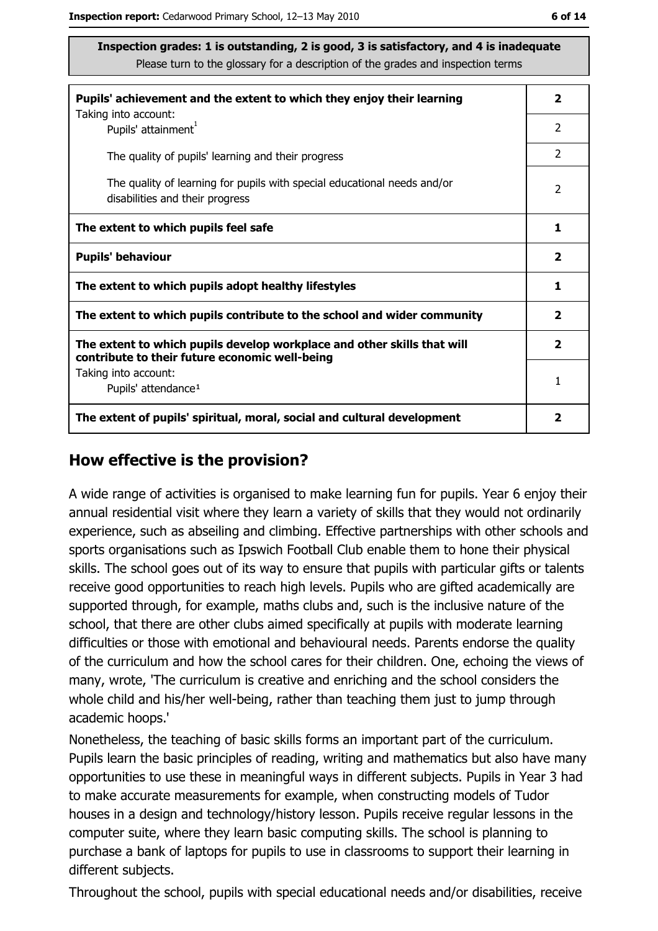| Pupils' achievement and the extent to which they enjoy their learning                                                     |                |  |  |  |
|---------------------------------------------------------------------------------------------------------------------------|----------------|--|--|--|
| Taking into account:<br>Pupils' attainment <sup>1</sup>                                                                   | $\mathcal{P}$  |  |  |  |
| The quality of pupils' learning and their progress                                                                        | $\mathcal{P}$  |  |  |  |
| The quality of learning for pupils with special educational needs and/or<br>disabilities and their progress               | $\overline{2}$ |  |  |  |
| The extent to which pupils feel safe                                                                                      |                |  |  |  |
| <b>Pupils' behaviour</b>                                                                                                  |                |  |  |  |
| The extent to which pupils adopt healthy lifestyles                                                                       | 1              |  |  |  |
| The extent to which pupils contribute to the school and wider community                                                   |                |  |  |  |
| The extent to which pupils develop workplace and other skills that will<br>contribute to their future economic well-being |                |  |  |  |
| Taking into account:<br>Pupils' attendance <sup>1</sup>                                                                   | 1              |  |  |  |
| The extent of pupils' spiritual, moral, social and cultural development                                                   | 2              |  |  |  |

#### How effective is the provision?

A wide range of activities is organised to make learning fun for pupils. Year 6 enjoy their annual residential visit where they learn a variety of skills that they would not ordinarily experience, such as abseiling and climbing. Effective partnerships with other schools and sports organisations such as Ipswich Football Club enable them to hone their physical skills. The school goes out of its way to ensure that pupils with particular gifts or talents receive good opportunities to reach high levels. Pupils who are gifted academically are supported through, for example, maths clubs and, such is the inclusive nature of the school, that there are other clubs aimed specifically at pupils with moderate learning difficulties or those with emotional and behavioural needs. Parents endorse the quality of the curriculum and how the school cares for their children. One, echoing the views of many, wrote, 'The curriculum is creative and enriching and the school considers the whole child and his/her well-being, rather than teaching them just to jump through academic hoops.'

Nonetheless, the teaching of basic skills forms an important part of the curriculum. Pupils learn the basic principles of reading, writing and mathematics but also have many opportunities to use these in meaningful ways in different subjects. Pupils in Year 3 had to make accurate measurements for example, when constructing models of Tudor houses in a design and technology/history lesson. Pupils receive regular lessons in the computer suite, where they learn basic computing skills. The school is planning to purchase a bank of laptops for pupils to use in classrooms to support their learning in different subjects.

Throughout the school, pupils with special educational needs and/or disabilities, receive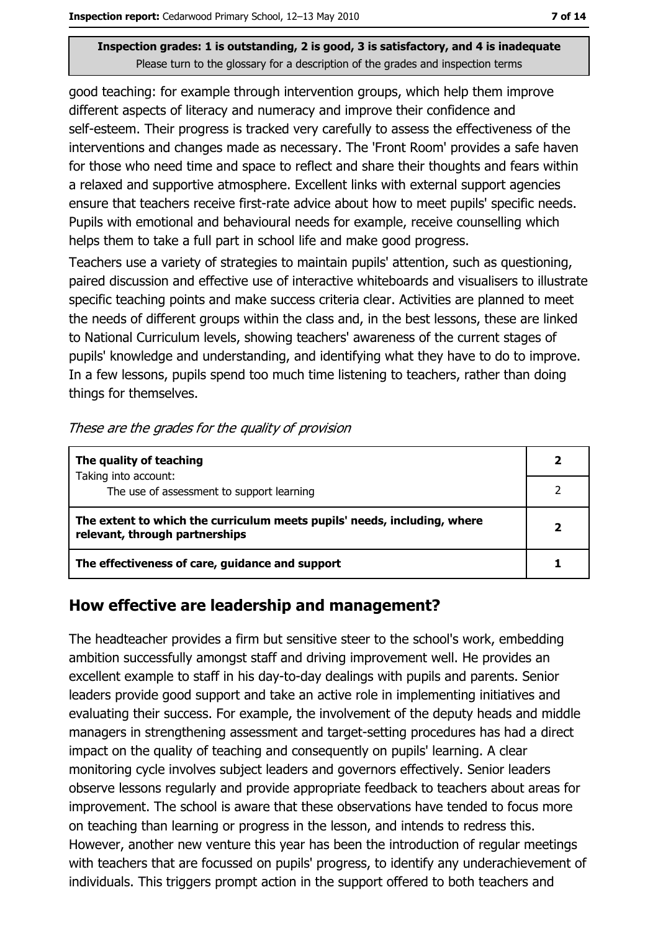good teaching: for example through intervention groups, which help them improve different aspects of literacy and numeracy and improve their confidence and self-esteem. Their progress is tracked very carefully to assess the effectiveness of the interventions and changes made as necessary. The 'Front Room' provides a safe haven for those who need time and space to reflect and share their thoughts and fears within a relaxed and supportive atmosphere. Excellent links with external support agencies ensure that teachers receive first-rate advice about how to meet pupils' specific needs. Pupils with emotional and behavioural needs for example, receive counselling which helps them to take a full part in school life and make good progress.

Teachers use a variety of strategies to maintain pupils' attention, such as questioning, paired discussion and effective use of interactive whiteboards and visualisers to illustrate specific teaching points and make success criteria clear. Activities are planned to meet the needs of different groups within the class and, in the best lessons, these are linked to National Curriculum levels, showing teachers' awareness of the current stages of pupils' knowledge and understanding, and identifying what they have to do to improve. In a few lessons, pupils spend too much time listening to teachers, rather than doing things for themselves.

|  | These are the grades for the quality of provision |  |  |
|--|---------------------------------------------------|--|--|
|  |                                                   |  |  |

| The quality of teaching                                                                                    |  |  |  |
|------------------------------------------------------------------------------------------------------------|--|--|--|
| Taking into account:<br>The use of assessment to support learning                                          |  |  |  |
| The extent to which the curriculum meets pupils' needs, including, where<br>relevant, through partnerships |  |  |  |
| The effectiveness of care, guidance and support                                                            |  |  |  |

#### How effective are leadership and management?

The headteacher provides a firm but sensitive steer to the school's work, embedding ambition successfully amongst staff and driving improvement well. He provides an excellent example to staff in his day-to-day dealings with pupils and parents. Senior leaders provide good support and take an active role in implementing initiatives and evaluating their success. For example, the involvement of the deputy heads and middle managers in strengthening assessment and target-setting procedures has had a direct impact on the quality of teaching and consequently on pupils' learning. A clear monitoring cycle involves subject leaders and governors effectively. Senior leaders observe lessons regularly and provide appropriate feedback to teachers about areas for improvement. The school is aware that these observations have tended to focus more on teaching than learning or progress in the lesson, and intends to redress this. However, another new venture this year has been the introduction of regular meetings with teachers that are focussed on pupils' progress, to identify any underachievement of individuals. This triggers prompt action in the support offered to both teachers and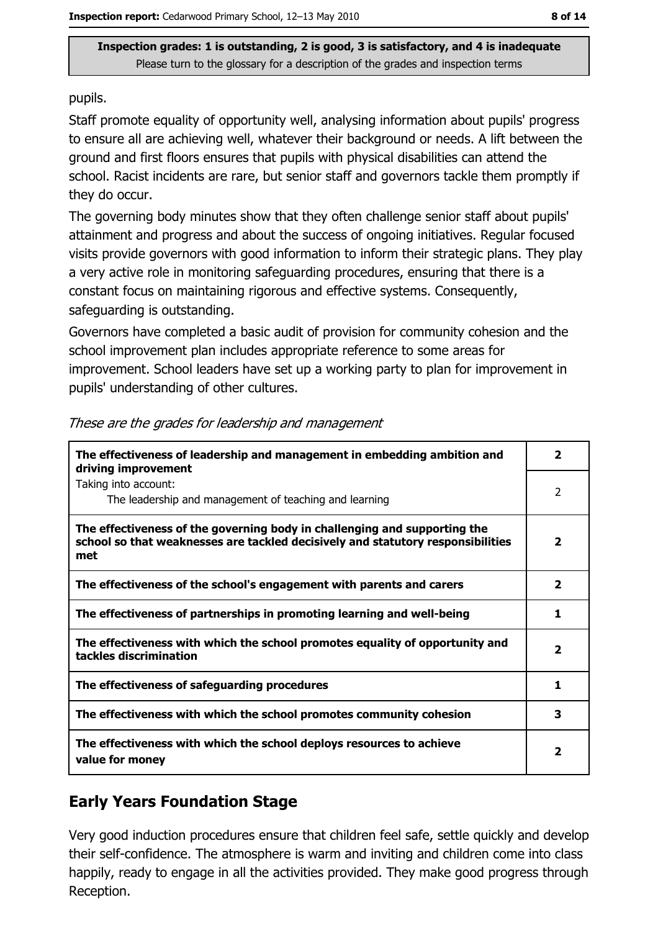pupils.

Staff promote equality of opportunity well, analysing information about pupils' progress to ensure all are achieving well, whatever their background or needs. A lift between the ground and first floors ensures that pupils with physical disabilities can attend the school. Racist incidents are rare, but senior staff and governors tackle them promptly if they do occur.

The governing body minutes show that they often challenge senior staff about pupils' attainment and progress and about the success of ongoing initiatives. Regular focused visits provide governors with good information to inform their strategic plans. They play a very active role in monitoring safeguarding procedures, ensuring that there is a constant focus on maintaining rigorous and effective systems. Consequently, safeguarding is outstanding.

Governors have completed a basic audit of provision for community cohesion and the school improvement plan includes appropriate reference to some areas for improvement. School leaders have set up a working party to plan for improvement in pupils' understanding of other cultures.

| The effectiveness of leadership and management in embedding ambition and<br>driving improvement                                                                     | $\overline{\mathbf{2}}$ |
|---------------------------------------------------------------------------------------------------------------------------------------------------------------------|-------------------------|
| Taking into account:<br>The leadership and management of teaching and learning                                                                                      | 2                       |
| The effectiveness of the governing body in challenging and supporting the<br>school so that weaknesses are tackled decisively and statutory responsibilities<br>met | $\mathbf{2}$            |
| The effectiveness of the school's engagement with parents and carers                                                                                                | $\overline{2}$          |
| The effectiveness of partnerships in promoting learning and well-being                                                                                              | 1                       |
| The effectiveness with which the school promotes equality of opportunity and<br>tackles discrimination                                                              | 2                       |
| The effectiveness of safeguarding procedures                                                                                                                        | 1                       |
| The effectiveness with which the school promotes community cohesion                                                                                                 | 3                       |
| The effectiveness with which the school deploys resources to achieve<br>value for money                                                                             | 2                       |

| These are the grades for leadership and management |  |
|----------------------------------------------------|--|
|----------------------------------------------------|--|

# **Early Years Foundation Stage**

Very good induction procedures ensure that children feel safe, settle quickly and develop their self-confidence. The atmosphere is warm and inviting and children come into class happily, ready to engage in all the activities provided. They make good progress through Reception.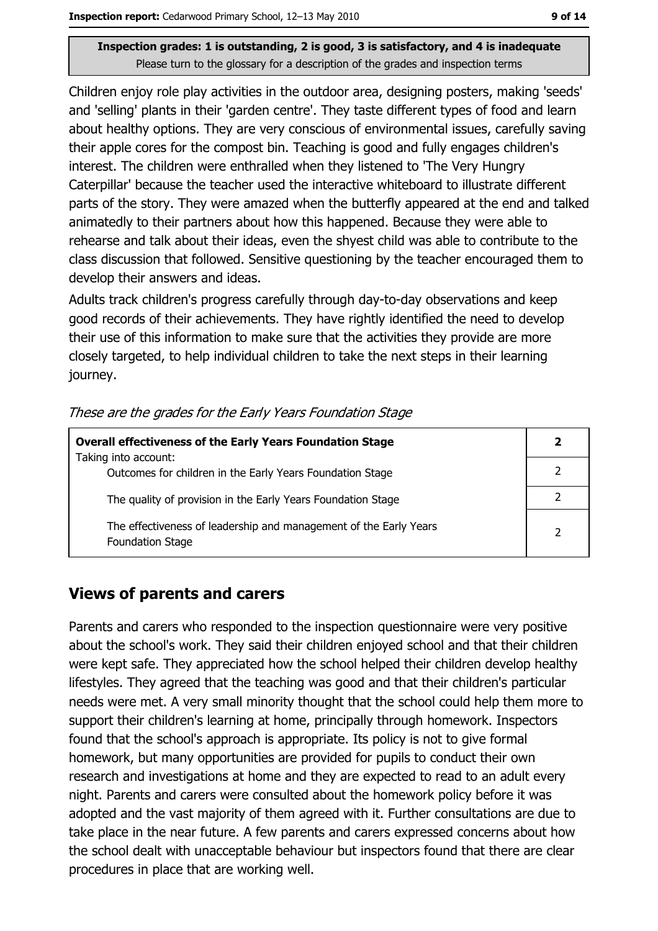Children enjoy role play activities in the outdoor area, designing posters, making 'seeds' and 'selling' plants in their 'garden centre'. They taste different types of food and learn about healthy options. They are very conscious of environmental issues, carefully saving their apple cores for the compost bin. Teaching is good and fully engages children's interest. The children were enthralled when they listened to 'The Very Hungry Caterpillar' because the teacher used the interactive whiteboard to illustrate different parts of the story. They were amazed when the butterfly appeared at the end and talked animatedly to their partners about how this happened. Because they were able to rehearse and talk about their ideas, even the shyest child was able to contribute to the class discussion that followed. Sensitive questioning by the teacher encouraged them to develop their answers and ideas.

Adults track children's progress carefully through day-to-day observations and keep good records of their achievements. They have rightly identified the need to develop their use of this information to make sure that the activities they provide are more closely targeted, to help individual children to take the next steps in their learning journey.

|  |  |  |  |  | These are the grades for the Early Years Foundation Stage |  |
|--|--|--|--|--|-----------------------------------------------------------|--|
|  |  |  |  |  |                                                           |  |

| <b>Overall effectiveness of the Early Years Foundation Stage</b><br>Taking into account:     |                |  |  |  |
|----------------------------------------------------------------------------------------------|----------------|--|--|--|
| Outcomes for children in the Early Years Foundation Stage                                    |                |  |  |  |
| The quality of provision in the Early Years Foundation Stage                                 |                |  |  |  |
| The effectiveness of leadership and management of the Early Years<br><b>Foundation Stage</b> | $\overline{2}$ |  |  |  |

#### **Views of parents and carers**

Parents and carers who responded to the inspection questionnaire were very positive about the school's work. They said their children enjoyed school and that their children were kept safe. They appreciated how the school helped their children develop healthy lifestyles. They agreed that the teaching was good and that their children's particular needs were met. A very small minority thought that the school could help them more to support their children's learning at home, principally through homework. Inspectors found that the school's approach is appropriate. Its policy is not to give formal homework, but many opportunities are provided for pupils to conduct their own research and investigations at home and they are expected to read to an adult every night. Parents and carers were consulted about the homework policy before it was adopted and the vast majority of them agreed with it. Further consultations are due to take place in the near future. A few parents and carers expressed concerns about how the school dealt with unacceptable behaviour but inspectors found that there are clear procedures in place that are working well.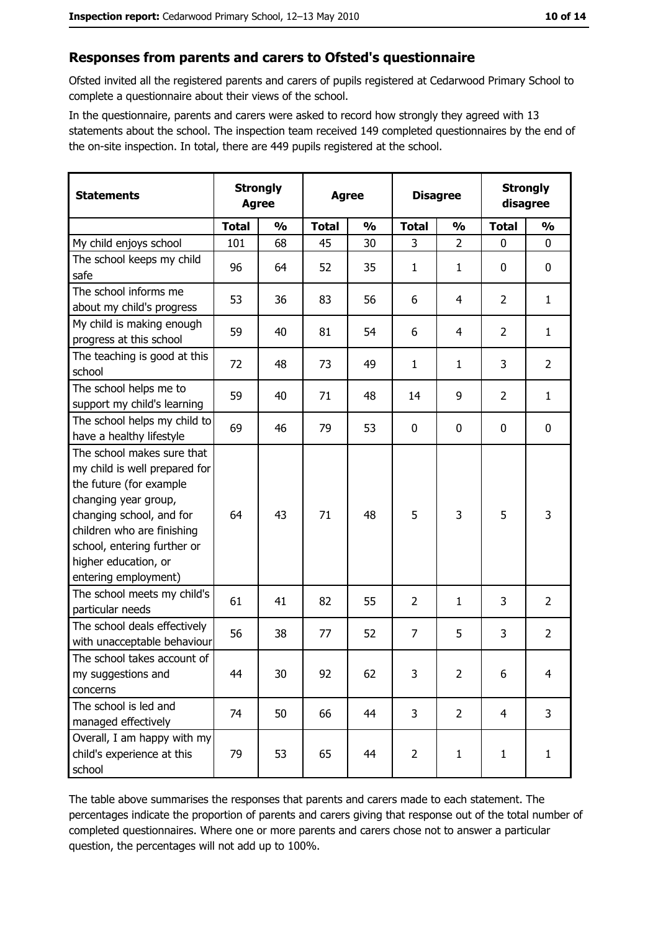### Responses from parents and carers to Ofsted's questionnaire

Ofsted invited all the registered parents and carers of pupils registered at Cedarwood Primary School to complete a questionnaire about their views of the school.

In the questionnaire, parents and carers were asked to record how strongly they agreed with 13 statements about the school. The inspection team received 149 completed questionnaires by the end of the on-site inspection. In total, there are 449 pupils registered at the school.

| <b>Statements</b>                                                                                                                                                                                                                                       | <b>Strongly</b><br><b>Agree</b> |               | <b>Agree</b> |               |                | <b>Disagree</b> | <b>Strongly</b><br>disagree |                |
|---------------------------------------------------------------------------------------------------------------------------------------------------------------------------------------------------------------------------------------------------------|---------------------------------|---------------|--------------|---------------|----------------|-----------------|-----------------------------|----------------|
|                                                                                                                                                                                                                                                         | <b>Total</b>                    | $\frac{0}{0}$ | <b>Total</b> | $\frac{0}{0}$ | <b>Total</b>   | $\frac{1}{2}$   | <b>Total</b>                | $\frac{0}{0}$  |
| My child enjoys school                                                                                                                                                                                                                                  | 101                             | 68            | 45           | 30            | 3              | $\overline{2}$  | $\mathbf{0}$                | $\mathbf{0}$   |
| The school keeps my child<br>safe                                                                                                                                                                                                                       | 96                              | 64            | 52           | 35            | 1              | 1               | 0                           | $\mathbf 0$    |
| The school informs me<br>about my child's progress                                                                                                                                                                                                      | 53                              | 36            | 83           | 56            | 6              | 4               | $\overline{2}$              | $\mathbf{1}$   |
| My child is making enough<br>progress at this school                                                                                                                                                                                                    | 59                              | 40            | 81           | 54            | 6              | 4               | $\overline{2}$              | $\mathbf{1}$   |
| The teaching is good at this<br>school                                                                                                                                                                                                                  | 72                              | 48            | 73           | 49            | 1              | 1               | 3                           | $\overline{2}$ |
| The school helps me to<br>support my child's learning                                                                                                                                                                                                   | 59                              | 40            | 71           | 48            | 14             | 9               | $\overline{2}$              | $\mathbf{1}$   |
| The school helps my child to<br>have a healthy lifestyle                                                                                                                                                                                                | 69                              | 46            | 79           | 53            | 0              | 0               | 0                           | $\mathbf 0$    |
| The school makes sure that<br>my child is well prepared for<br>the future (for example<br>changing year group,<br>changing school, and for<br>children who are finishing<br>school, entering further or<br>higher education, or<br>entering employment) | 64                              | 43            | 71           | 48            | 5              | 3               | 5                           | 3              |
| The school meets my child's<br>particular needs                                                                                                                                                                                                         | 61                              | 41            | 82           | 55            | $\overline{2}$ | $\mathbf{1}$    | 3                           | $\overline{2}$ |
| The school deals effectively<br>with unacceptable behaviour                                                                                                                                                                                             | 56                              | 38            | 77           | 52            | $\overline{7}$ | 5               | 3                           | $\overline{2}$ |
| The school takes account of<br>my suggestions and<br>concerns                                                                                                                                                                                           | 44                              | 30            | 92           | 62            | 3              | $\overline{2}$  | 6                           | 4              |
| The school is led and<br>managed effectively                                                                                                                                                                                                            | 74                              | 50            | 66           | 44            | 3              | $\overline{2}$  | $\overline{4}$              | 3              |
| Overall, I am happy with my<br>child's experience at this<br>school                                                                                                                                                                                     | 79                              | 53            | 65           | 44            | $\overline{2}$ | $\mathbf{1}$    | $\mathbf{1}$                | $\mathbf{1}$   |

The table above summarises the responses that parents and carers made to each statement. The percentages indicate the proportion of parents and carers giving that response out of the total number of completed questionnaires. Where one or more parents and carers chose not to answer a particular question, the percentages will not add up to 100%.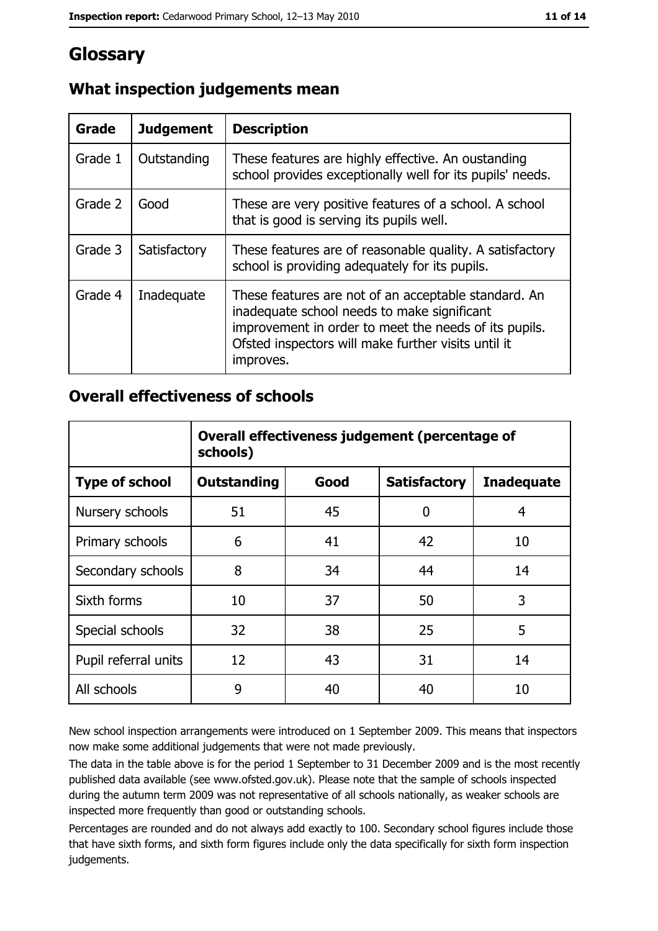# Glossary

| Grade   | <b>Judgement</b> | <b>Description</b>                                                                                                                                                                                                               |
|---------|------------------|----------------------------------------------------------------------------------------------------------------------------------------------------------------------------------------------------------------------------------|
| Grade 1 | Outstanding      | These features are highly effective. An oustanding<br>school provides exceptionally well for its pupils' needs.                                                                                                                  |
| Grade 2 | Good             | These are very positive features of a school. A school<br>that is good is serving its pupils well.                                                                                                                               |
| Grade 3 | Satisfactory     | These features are of reasonable quality. A satisfactory<br>school is providing adequately for its pupils.                                                                                                                       |
| Grade 4 | Inadequate       | These features are not of an acceptable standard. An<br>inadequate school needs to make significant<br>improvement in order to meet the needs of its pupils.<br>Ofsted inspectors will make further visits until it<br>improves. |

# What inspection judgements mean

## **Overall effectiveness of schools**

|                       | Overall effectiveness judgement (percentage of<br>schools) |      |                     |                   |  |  |
|-----------------------|------------------------------------------------------------|------|---------------------|-------------------|--|--|
| <b>Type of school</b> | <b>Outstanding</b>                                         | Good | <b>Satisfactory</b> | <b>Inadequate</b> |  |  |
| Nursery schools       | 51                                                         | 45   | 0                   | 4                 |  |  |
| Primary schools       | 6                                                          | 41   | 42                  | 10                |  |  |
| Secondary schools     | 8                                                          | 34   | 44                  | 14                |  |  |
| Sixth forms           | 10                                                         | 37   | 50                  | 3                 |  |  |
| Special schools       | 32                                                         | 38   | 25                  | 5                 |  |  |
| Pupil referral units  | 12                                                         | 43   | 31                  | 14                |  |  |
| All schools           | 9                                                          | 40   | 40                  | 10                |  |  |

New school inspection arrangements were introduced on 1 September 2009. This means that inspectors now make some additional judgements that were not made previously.

The data in the table above is for the period 1 September to 31 December 2009 and is the most recently published data available (see www.ofsted.gov.uk). Please note that the sample of schools inspected during the autumn term 2009 was not representative of all schools nationally, as weaker schools are inspected more frequently than good or outstanding schools.

Percentages are rounded and do not always add exactly to 100. Secondary school figures include those that have sixth forms, and sixth form figures include only the data specifically for sixth form inspection judgements.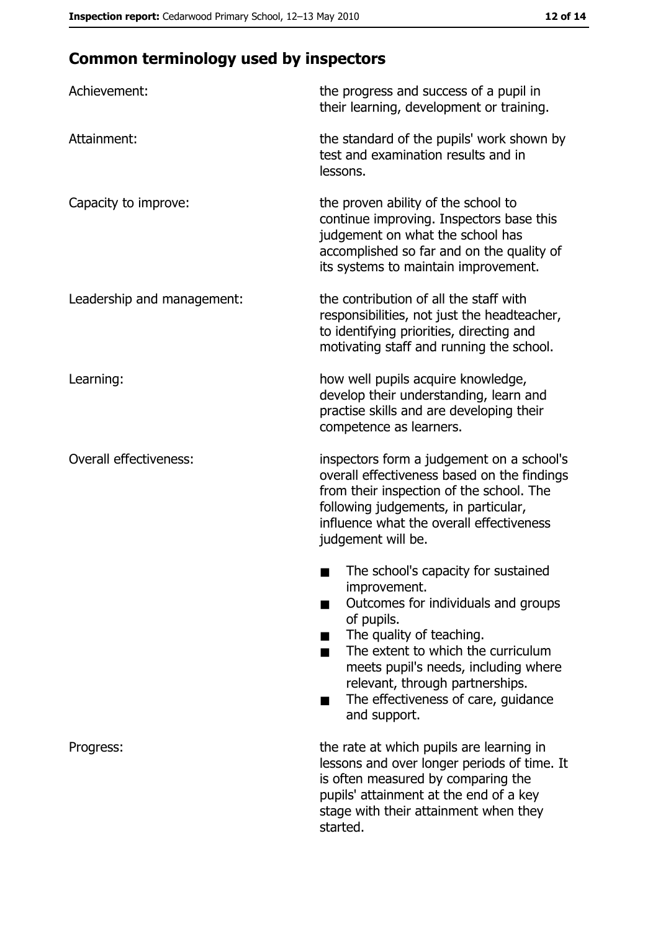# **Common terminology used by inspectors**

| Achievement:                  | the progress and success of a pupil in<br>their learning, development or training.                                                                                                                                                                                                                           |  |  |
|-------------------------------|--------------------------------------------------------------------------------------------------------------------------------------------------------------------------------------------------------------------------------------------------------------------------------------------------------------|--|--|
| Attainment:                   | the standard of the pupils' work shown by<br>test and examination results and in<br>lessons.                                                                                                                                                                                                                 |  |  |
| Capacity to improve:          | the proven ability of the school to<br>continue improving. Inspectors base this<br>judgement on what the school has<br>accomplished so far and on the quality of<br>its systems to maintain improvement.                                                                                                     |  |  |
| Leadership and management:    | the contribution of all the staff with<br>responsibilities, not just the headteacher,<br>to identifying priorities, directing and<br>motivating staff and running the school.                                                                                                                                |  |  |
| Learning:                     | how well pupils acquire knowledge,<br>develop their understanding, learn and<br>practise skills and are developing their<br>competence as learners.                                                                                                                                                          |  |  |
| <b>Overall effectiveness:</b> | inspectors form a judgement on a school's<br>overall effectiveness based on the findings<br>from their inspection of the school. The<br>following judgements, in particular,<br>influence what the overall effectiveness<br>judgement will be.                                                               |  |  |
|                               | The school's capacity for sustained<br>improvement.<br>Outcomes for individuals and groups<br>of pupils.<br>The quality of teaching.<br>The extent to which the curriculum<br>meets pupil's needs, including where<br>relevant, through partnerships.<br>The effectiveness of care, guidance<br>and support. |  |  |
| Progress:                     | the rate at which pupils are learning in<br>lessons and over longer periods of time. It<br>is often measured by comparing the<br>pupils' attainment at the end of a key<br>stage with their attainment when they<br>started.                                                                                 |  |  |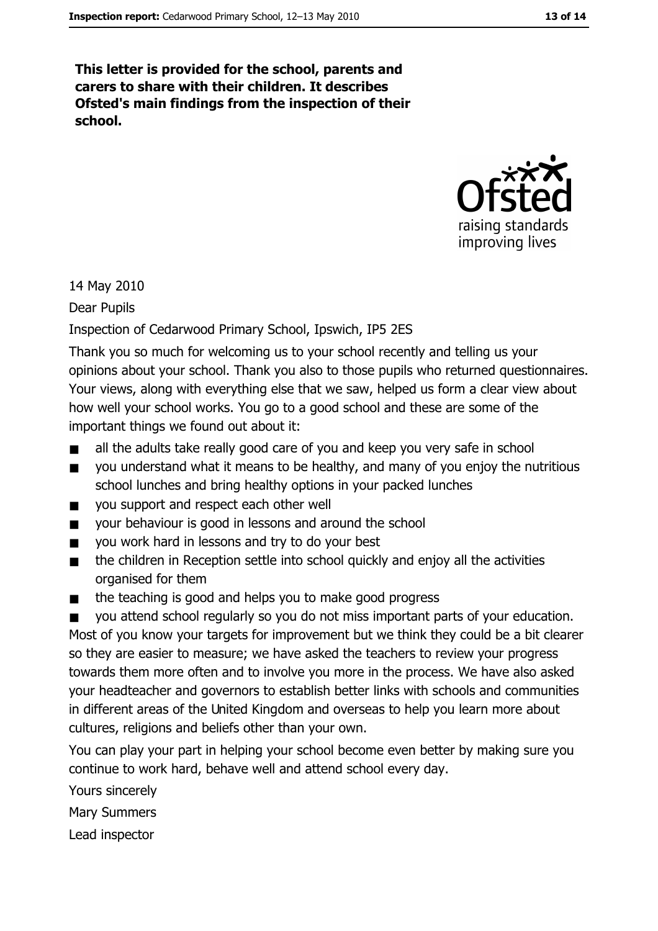This letter is provided for the school, parents and carers to share with their children. It describes Ofsted's main findings from the inspection of their school.



14 May 2010

Dear Pupils

## Inspection of Cedarwood Primary School, Ipswich, IP5 2ES

Thank you so much for welcoming us to your school recently and telling us your opinions about your school. Thank you also to those pupils who returned questionnaires. Your views, along with everything else that we saw, helped us form a clear view about how well your school works. You go to a good school and these are some of the important things we found out about it:

- all the adults take really good care of you and keep you very safe in school  $\blacksquare$
- you understand what it means to be healthy, and many of you enjoy the nutritious  $\blacksquare$ school lunches and bring healthy options in your packed lunches
- you support and respect each other well  $\blacksquare$
- your behaviour is good in lessons and around the school  $\blacksquare$
- you work hard in lessons and try to do your best  $\blacksquare$
- the children in Reception settle into school quickly and enjoy all the activities  $\blacksquare$ organised for them
- $\blacksquare$ the teaching is good and helps you to make good progress

you attend school regularly so you do not miss important parts of your education.  $\blacksquare$ Most of you know your targets for improvement but we think they could be a bit clearer so they are easier to measure; we have asked the teachers to review your progress towards them more often and to involve you more in the process. We have also asked your headteacher and governors to establish better links with schools and communities in different areas of the United Kingdom and overseas to help you learn more about cultures, religions and beliefs other than your own.

You can play your part in helping your school become even better by making sure you continue to work hard, behave well and attend school every day.

Yours sincerely

**Mary Summers** 

Lead inspector